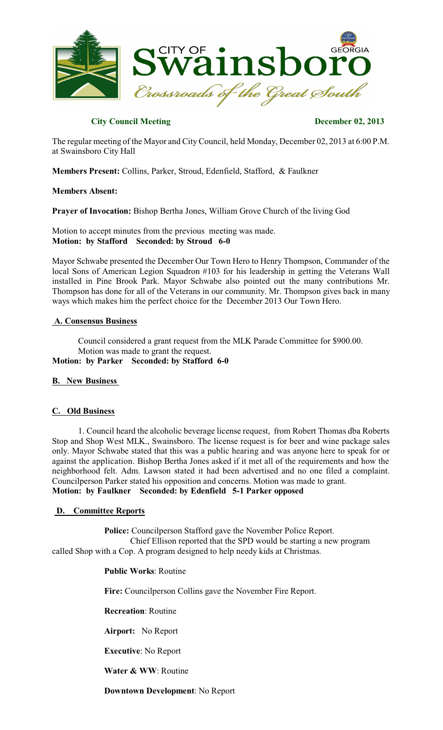

### **City Council Meeting December 02, 2013**

The regular meeting of the Mayor and City Council, held Monday, December 02, 2013 at 6:00 P.M. at Swainsboro City Hall

**Members Present:** Collins, Parker, Stroud, Edenfield, Stafford, & Faulkner

#### **Members Absent:**

**Prayer of Invocation:** Bishop Bertha Jones, William Grove Church of the living God

Motion to accept minutes from the previous meeting was made. **Motion: by Stafford Seconded: by Stroud 6-0**

Mayor Schwabe presented the December Our Town Hero to Henry Thompson, Commander of the local Sons of American Legion Squadron #103 for his leadership in getting the Veterans Wall installed in Pine Brook Park. Mayor Schwabe also pointed out the many contributions Mr. Thompson has done for all of the Veterans in our community. Mr. Thompson gives back in many ways which makes him the perfect choice for the December 2013 Our Town Hero.

#### **A. Consensus Business**

Council considered a grant request from the MLK Parade Committee for \$900.00. Motion was made to grant the request.

**Motion: by Parker Seconded: by Stafford 6-0**

## **B. New Business**

#### **C. Old Business**

1. Council heard the alcoholic beverage license request, from Robert Thomas dba Roberts Stop and Shop West MLK., Swainsboro. The license request is for beer and wine package sales only. Mayor Schwabe stated that this was a public hearing and was anyone here to speak for or against the application. Bishop Bertha Jones asked if it met all of the requirements and how the neighborhood felt. Adm. Lawson stated it had been advertised and no one filed a complaint. Councilperson Parker stated his opposition and concerns. Motion was made to grant. **Motion: by Faulkner Seconded: by Edenfield 5-1 Parker opposed** 

#### **D. Committee Reports**

**Police:** Councilperson Stafford gave the November Police Report. Chief Ellison reported that the SPD would be starting a new program called Shop with a Cop. A program designed to help needy kids at Christmas.

#### **Public Works**: Routine

**Fire:** Councilperson Collins gave the November Fire Report.

**Recreation**: Routine

**Airport:** No Report

**Executive**: No Report

**Water & WW**: Routine

**Downtown Development**: No Report